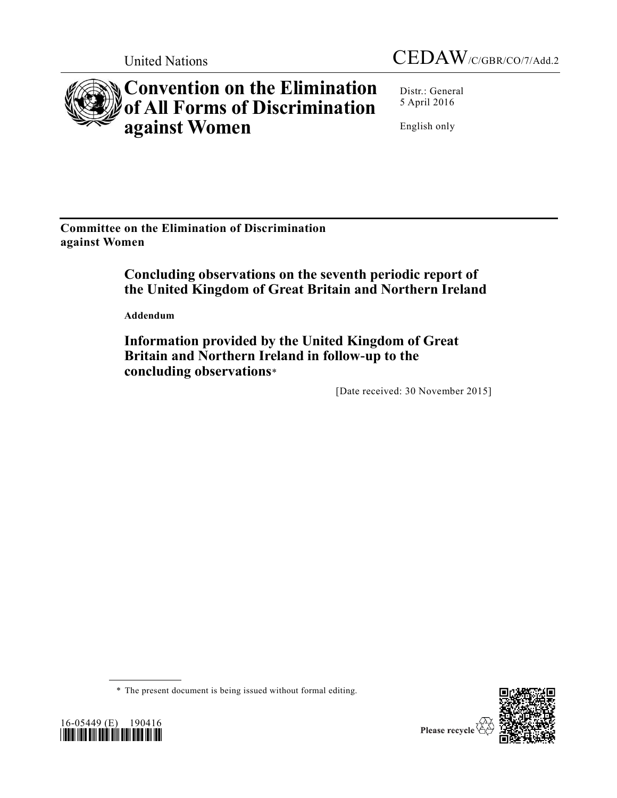



# **Convention on the Elimination of All Forms of Discrimination against Women**

Distr.: General 5 April 2016

English only

**Committee on the Elimination of Discrimination against Women**

# **Concluding observations on the seventh periodic report of the United Kingdom of Great Britain and Northern Ireland**

**Addendum**

**Information provided by the United Kingdom of Great Britain and Northern Ireland in follow-up to the concluding observations**\*

[Date received: 30 November 2015]

\* The present document is being issued without formal editing.



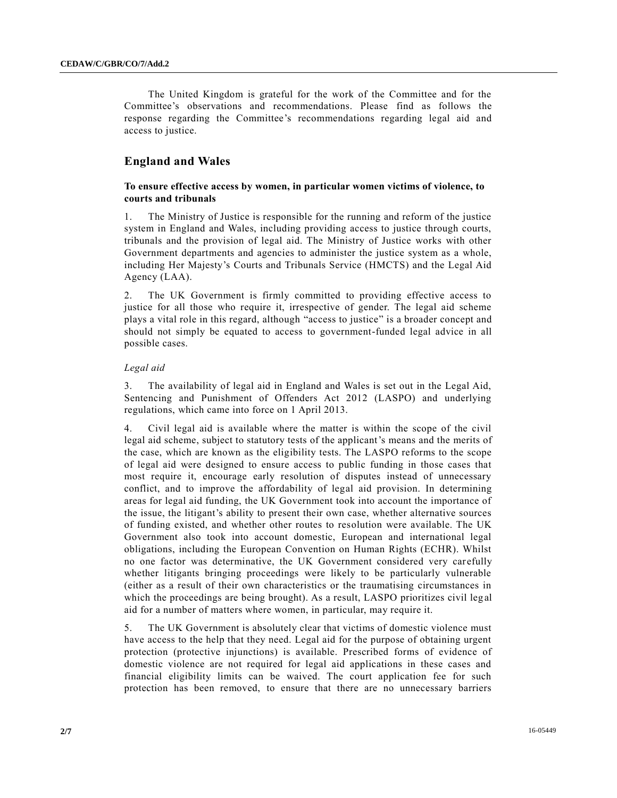The United Kingdom is grateful for the work of the Committee and for the Committee's observations and recommendations. Please find as follows the response regarding the Committee's recommendations regarding legal aid and access to justice.

# **England and Wales**

## **To ensure effective access by women, in particular women victims of violence, to courts and tribunals**

1. The Ministry of Justice is responsible for the running and reform of the justice system in England and Wales, including providing access to justice through courts, tribunals and the provision of legal aid. The Ministry of Justice works with other Government departments and agencies to administer the justice system as a whole, including Her Majesty's Courts and Tribunals Service (HMCTS) and the Legal Aid Agency (LAA).

2. The UK Government is firmly committed to providing effective access to justice for all those who require it, irrespective of gender. The legal aid scheme plays a vital role in this regard, although "access to justice" is a broader concept and should not simply be equated to access to government-funded legal advice in all possible cases.

#### *Legal aid*

3. The availability of legal aid in England and Wales is set out in the Legal Aid, Sentencing and Punishment of Offenders Act 2012 (LASPO) and underlying regulations, which came into force on 1 April 2013.

4. Civil legal aid is available where the matter is within the scope of the civil legal aid scheme, subject to statutory tests of the applicant's means and the merits of the case, which are known as the eligibility tests. The LASPO reforms to the scope of legal aid were designed to ensure access to public funding in those cases that most require it, encourage early resolution of disputes instead of unnecessary conflict, and to improve the affordability of legal aid provision. In determining areas for legal aid funding, the UK Government took into account the importance of the issue, the litigant's ability to present their own case, whether alternative sources of funding existed, and whether other routes to resolution were available. The UK Government also took into account domestic, European and international legal obligations, including the European Convention on Human Rights (ECHR). Whilst no one factor was determinative, the UK Government considered very carefully whether litigants bringing proceedings were likely to be particularly vulnerable (either as a result of their own characteristics or the traumatising circumstances in which the proceedings are being brought). As a result, LASPO prioritizes civil leg al aid for a number of matters where women, in particular, may require it.

5. The UK Government is absolutely clear that victims of domestic violence must have access to the help that they need. Legal aid for the purpose of obtaining urgent protection (protective injunctions) is available. Prescribed forms of evidence of domestic violence are not required for legal aid applications in these cases and financial eligibility limits can be waived. The court application fee for such protection has been removed, to ensure that there are no unnecessary barriers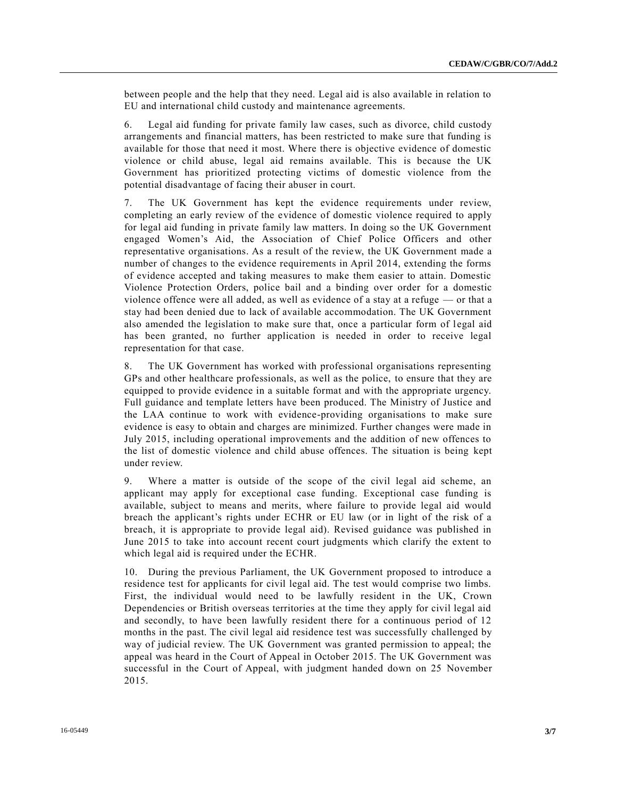between people and the help that they need. Legal aid is also available in relation to EU and international child custody and maintenance agreements.

6. Legal aid funding for private family law cases, such as divorce, child custody arrangements and financial matters, has been restricted to make sure that funding is available for those that need it most. Where there is objective evidence of domestic violence or child abuse, legal aid remains available. This is because the UK Government has prioritized protecting victims of domestic violence from the potential disadvantage of facing their abuser in court.

7. The UK Government has kept the evidence requirements under review, completing an early review of the evidence of domestic violence required to apply for legal aid funding in private family law matters. In doing so the UK Government engaged Women's Aid, the Association of Chief Police Officers and other representative organisations. As a result of the review, the UK Government made a number of changes to the evidence requirements in April 2014, extending the forms of evidence accepted and taking measures to make them easier to attain. Domestic Violence Protection Orders, police bail and a binding over order for a domestic violence offence were all added, as well as evidence of a stay at a refuge — or that a stay had been denied due to lack of available accommodation. The UK Government also amended the legislation to make sure that, once a particular form of legal aid has been granted, no further application is needed in order to receive legal representation for that case.

8. The UK Government has worked with professional organisations representing GPs and other healthcare professionals, as well as the police, to ensure that they are equipped to provide evidence in a suitable format and with the appropriate urgency. Full guidance and template letters have been produced. The Ministry of Justice and the LAA continue to work with evidence-providing organisations to make sure evidence is easy to obtain and charges are minimized. Further changes were made in July 2015, including operational improvements and the addition of new offences to the list of domestic violence and child abuse offences. The situation is being kept under review.

9. Where a matter is outside of the scope of the civil legal aid scheme, an applicant may apply for exceptional case funding. Exceptional case funding is available, subject to means and merits, where failure to provide legal aid would breach the applicant's rights under ECHR or EU law (or in light of the risk of a breach, it is appropriate to provide legal aid). Revised guidance was published in June 2015 to take into account recent court judgments which clarify the extent to which legal aid is required under the ECHR.

10. During the previous Parliament, the UK Government proposed to introduce a residence test for applicants for civil legal aid. The test would comprise two limbs. First, the individual would need to be lawfully resident in the UK, Crown Dependencies or British overseas territories at the time they apply for civil legal aid and secondly, to have been lawfully resident there for a continuous period of 12 months in the past. The civil legal aid residence test was successfully challenged by way of judicial review. The UK Government was granted permission to appeal; the appeal was heard in the Court of Appeal in October 2015. The UK Government was successful in the Court of Appeal, with judgment handed down on 25 November 2015.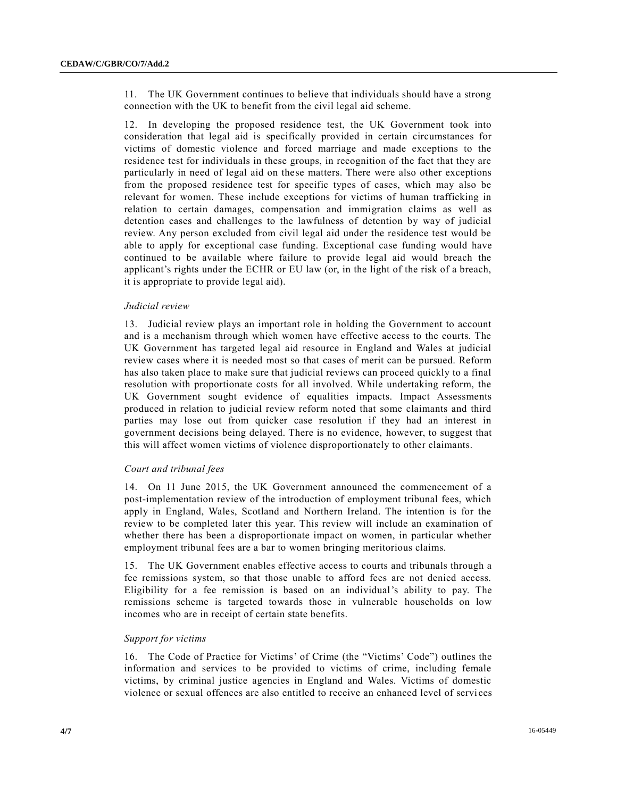11. The UK Government continues to believe that individuals should have a strong connection with the UK to benefit from the civil legal aid scheme.

12. In developing the proposed residence test, the UK Government took into consideration that legal aid is specifically provided in certain circumstances for victims of domestic violence and forced marriage and made exceptions to the residence test for individuals in these groups, in recognition of the fact that they are particularly in need of legal aid on these matters. There were also other exceptions from the proposed residence test for specific types of cases, which may also be relevant for women. These include exceptions for victims of human trafficking in relation to certain damages, compensation and immigration claims as well as detention cases and challenges to the lawfulness of detention by way of judicial review. Any person excluded from civil legal aid under the residence test would be able to apply for exceptional case funding. Exceptional case funding would have continued to be available where failure to provide legal aid would breach the applicant's rights under the ECHR or EU law (or, in the light of the risk of a breach, it is appropriate to provide legal aid).

#### *Judicial review*

13. Judicial review plays an important role in holding the Government to account and is a mechanism through which women have effective access to the courts. The UK Government has targeted legal aid resource in England and Wales at judicial review cases where it is needed most so that cases of merit can be pursued. Reform has also taken place to make sure that judicial reviews can proceed quickly to a final resolution with proportionate costs for all involved. While undertaking reform, the UK Government sought evidence of equalities impacts. Impact Assessments produced in relation to judicial review reform noted that some claimants and third parties may lose out from quicker case resolution if they had an interest in government decisions being delayed. There is no evidence, however, to suggest that this will affect women victims of violence disproportionately to other claimants.

#### *Court and tribunal fees*

14. On 11 June 2015, the UK Government announced the commencement of a post-implementation review of the introduction of employment tribunal fees, which apply in England, Wales, Scotland and Northern Ireland. The intention is for the review to be completed later this year. This review will include an examination of whether there has been a disproportionate impact on women, in particular whether employment tribunal fees are a bar to women bringing meritorious claims.

15. The UK Government enables effective access to courts and tribunals through a fee remissions system, so that those unable to afford fees are not denied access. Eligibility for a fee remission is based on an individual's ability to pay. The remissions scheme is targeted towards those in vulnerable households on low incomes who are in receipt of certain state benefits.

#### *Support for victims*

16. The Code of Practice for Victims' of Crime (the "Victims' Code") outlines the information and services to be provided to victims of crime, including female victims, by criminal justice agencies in England and Wales. Victims of domestic violence or sexual offences are also entitled to receive an enhanced level of servi ces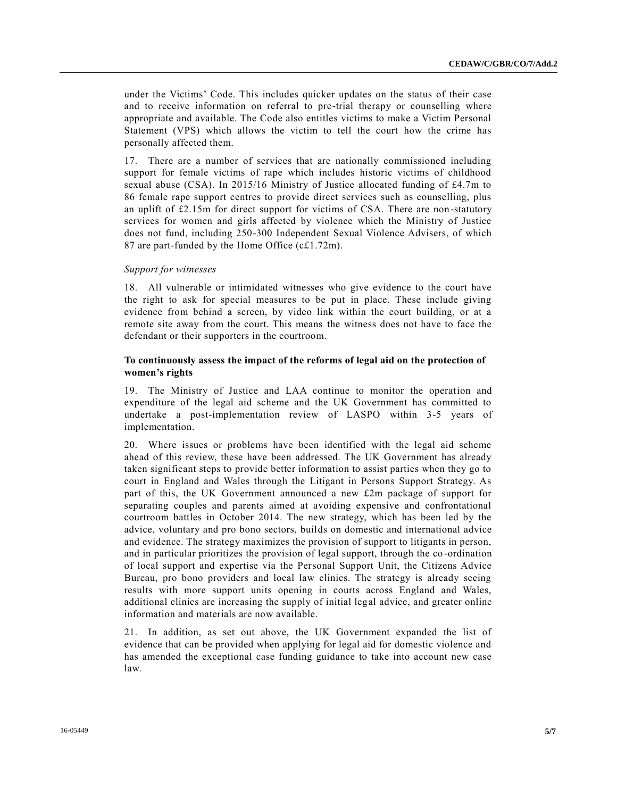under the Victims' Code. This includes quicker updates on the status of their case and to receive information on referral to pre-trial therapy or counselling where appropriate and available. The Code also entitles victims to make a Victim Personal Statement (VPS) which allows the victim to tell the court how the crime has personally affected them.

17. There are a number of services that are nationally commissioned including support for female victims of rape which includes historic victims of childhood sexual abuse (CSA). In 2015/16 Ministry of Justice allocated funding of £4.7m to 86 female rape support centres to provide direct services such as counselling, plus an uplift of £2.15m for direct support for victims of CSA. There are non-statutory services for women and girls affected by violence which the Ministry of Justice does not fund, including 250-300 Independent Sexual Violence Advisers, of which 87 are part-funded by the Home Office (c£1.72m).

#### *Support for witnesses*

18. All vulnerable or intimidated witnesses who give evidence to the court have the right to ask for special measures to be put in place. These include giving evidence from behind a screen, by video link within the court building, or at a remote site away from the court. This means the witness does not have to face the defendant or their supporters in the courtroom.

## **To continuously assess the impact of the reforms of legal aid on the protection of women's rights**

19. The Ministry of Justice and LAA continue to monitor the operation and expenditure of the legal aid scheme and the UK Government has committed to undertake a post-implementation review of LASPO within 3-5 years of implementation.

20. Where issues or problems have been identified with the legal aid scheme ahead of this review, these have been addressed. The UK Government has already taken significant steps to provide better information to assist parties when they go to court in England and Wales through the Litigant in Persons Support Strategy. As part of this, the UK Government announced a new £2m package of support for separating couples and parents aimed at avoiding expensive and confrontational courtroom battles in October 2014. The new strategy, which has been led by the advice, voluntary and pro bono sectors, builds on domestic and international advice and evidence. The strategy maximizes the provision of support to litigants in person, and in particular prioritizes the provision of legal support, through the co -ordination of local support and expertise via the Personal Support Unit, the Citizens Advice Bureau, pro bono providers and local law clinics. The strategy is already seeing results with more support units opening in courts across England and Wales, additional clinics are increasing the supply of initial legal advice, and greater online information and materials are now available.

21. In addition, as set out above, the UK Government expanded the list of evidence that can be provided when applying for legal aid for domestic violence and has amended the exceptional case funding guidance to take into account new case law.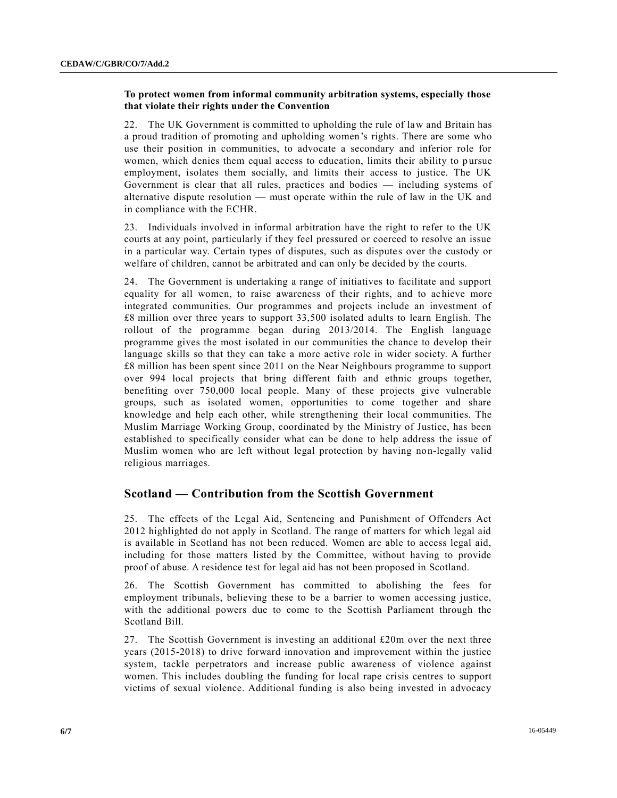# **To protect women from informal community arbitration systems, especially those that violate their rights under the Convention**

22. The UK Government is committed to upholding the rule of law and Britain has a proud tradition of promoting and upholding women's rights. There are some who use their position in communities, to advocate a secondary and inferior role for women, which denies them equal access to education, limits their ability to pursue employment, isolates them socially, and limits their access to justice. The UK Government is clear that all rules, practices and bodies — including systems of alternative dispute resolution — must operate within the rule of law in the UK and in compliance with the ECHR.

23. Individuals involved in informal arbitration have the right to refer to the UK courts at any point, particularly if they feel pressured or coerced to resolve an issue in a particular way. Certain types of disputes, such as dispute s over the custody or welfare of children, cannot be arbitrated and can only be decided by the courts.

24. The Government is undertaking a range of initiatives to facilitate and support equality for all women, to raise awareness of their rights, and to achieve more integrated communities. Our programmes and projects include an investment of £8 million over three years to support 33,500 isolated adults to learn English. The rollout of the programme began during 2013/2014. The English language programme gives the most isolated in our communities the chance to develop their language skills so that they can take a more active role in wider society. A further £8 million has been spent since 2011 on the Near Neighbours programme to support over 994 local projects that bring different faith and ethnic groups together, benefiting over 750,000 local people. Many of these projects give vulnerable groups, such as isolated women, opportunities to come together and share knowledge and help each other, while strengthening their local communities. The Muslim Marriage Working Group, coordinated by the Ministry of Justice, has been established to specifically consider what can be done to help address the issue of Muslim women who are left without legal protection by having non-legally valid religious marriages.

# **Scotland — Contribution from the Scottish Government**

25. The effects of the Legal Aid, Sentencing and Punishment of Offenders Act 2012 highlighted do not apply in Scotland. The range of matters for which legal aid is available in Scotland has not been reduced. Women are able to access legal aid, including for those matters listed by the Committee, without having to provide proof of abuse. A residence test for legal aid has not been proposed in Scotland.

26. The Scottish Government has committed to abolishing the fees for employment tribunals, believing these to be a barrier to women accessing justice, with the additional powers due to come to the Scottish Parliament through the Scotland Bill.

27. The Scottish Government is investing an additional £20m over the next three years (2015-2018) to drive forward innovation and improvement within the justice system, tackle perpetrators and increase public awareness of violence against women. This includes doubling the funding for local rape crisis centres to support victims of sexual violence. Additional funding is also being invested in advocacy